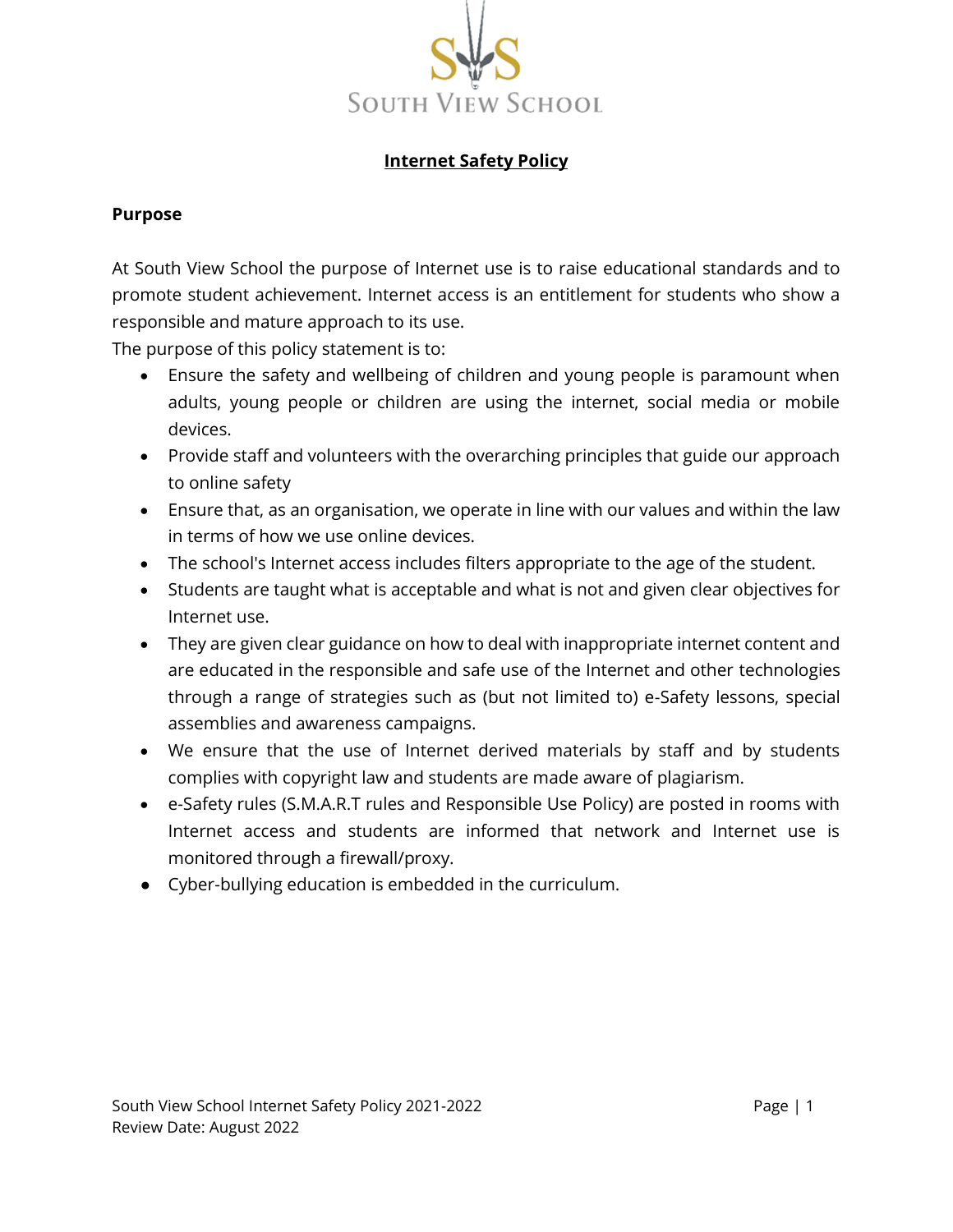

## **Internet Safety Policy**

#### **Purpose**

At South View School the purpose of Internet use is to raise educational standards and to promote student achievement. Internet access is an entitlement for students who show a responsible and mature approach to its use.

The purpose of this policy statement is to:

- Ensure the safety and wellbeing of children and young people is paramount when adults, young people or children are using the internet, social media or mobile devices.
- Provide staff and volunteers with the overarching principles that guide our approach to online safety
- Ensure that, as an organisation, we operate in line with our values and within the law in terms of how we use online devices.
- The school's Internet access includes filters appropriate to the age of the student.
- Students are taught what is acceptable and what is not and given clear objectives for Internet use.
- They are given clear guidance on how to deal with inappropriate internet content and are educated in the responsible and safe use of the Internet and other technologies through a range of strategies such as (but not limited to) e-Safety lessons, special assemblies and awareness campaigns.
- We ensure that the use of Internet derived materials by staff and by students complies with copyright law and students are made aware of plagiarism.
- e-Safety rules (S.M.A.R.T rules and Responsible Use Policy) are posted in rooms with Internet access and students are informed that network and Internet use is monitored through a firewall/proxy.
- Cyber-bullying education is embedded in the curriculum.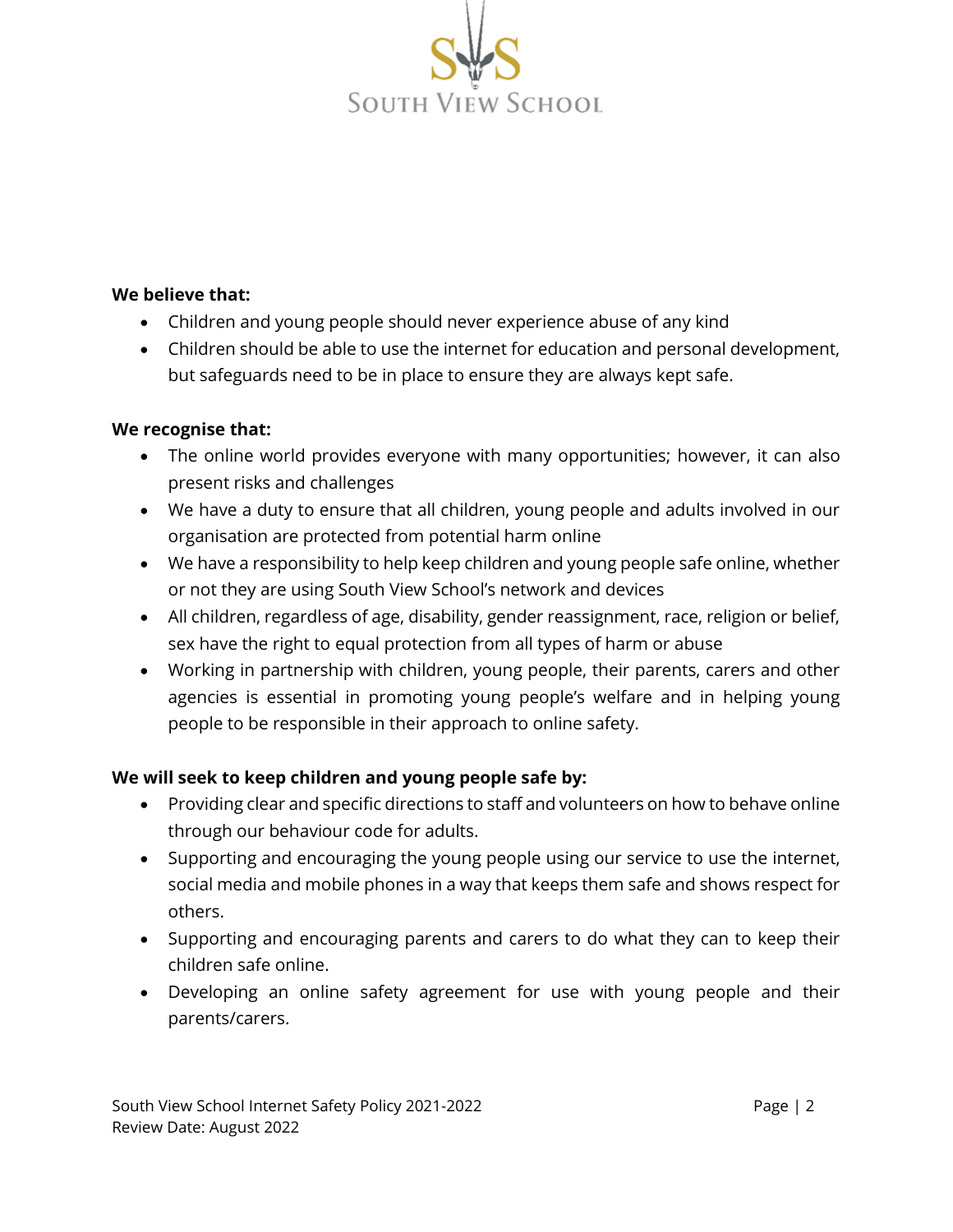

### **We believe that:**

- Children and young people should never experience abuse of any kind
- Children should be able to use the internet for education and personal development, but safeguards need to be in place to ensure they are always kept safe.

#### **We recognise that:**

- The online world provides everyone with many opportunities; however, it can also present risks and challenges
- We have a duty to ensure that all children, young people and adults involved in our organisation are protected from potential harm online
- We have a responsibility to help keep children and young people safe online, whether or not they are using South View School's network and devices
- All children, regardless of age, disability, gender reassignment, race, religion or belief, sex have the right to equal protection from all types of harm or abuse
- Working in partnership with children, young people, their parents, carers and other agencies is essential in promoting young people's welfare and in helping young people to be responsible in their approach to online safety.

## **We will seek to keep children and young people safe by:**

- Providing clear and specific directions to staff and volunteers on how to behave online through our behaviour code for adults.
- Supporting and encouraging the young people using our service to use the internet, social media and mobile phones in a way that keeps them safe and shows respect for others.
- Supporting and encouraging parents and carers to do what they can to keep their children safe online.
- Developing an online safety agreement for use with young people and their parents/carers.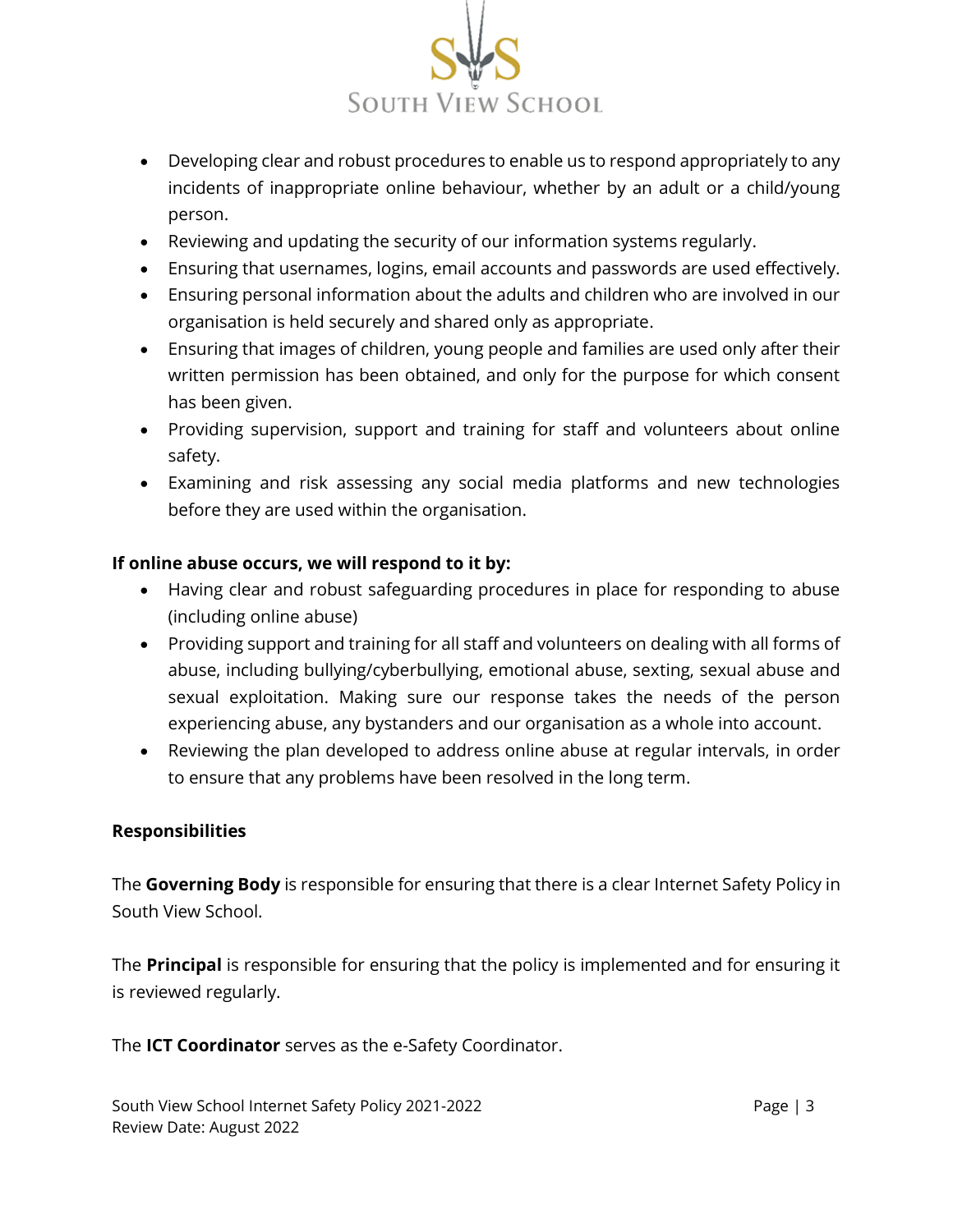

- Developing clear and robust procedures to enable us to respond appropriately to any incidents of inappropriate online behaviour, whether by an adult or a child/young person.
- Reviewing and updating the security of our information systems regularly.
- Ensuring that usernames, logins, email accounts and passwords are used effectively.
- Ensuring personal information about the adults and children who are involved in our organisation is held securely and shared only as appropriate.
- Ensuring that images of children, young people and families are used only after their written permission has been obtained, and only for the purpose for which consent has been given.
- Providing supervision, support and training for staff and volunteers about online safety.
- Examining and risk assessing any social media platforms and new technologies before they are used within the organisation.

# **If online abuse occurs, we will respond to it by:**

- Having clear and robust safeguarding procedures in place for responding to abuse (including online abuse)
- Providing support and training for all staff and volunteers on dealing with all forms of abuse, including bullying/cyberbullying, emotional abuse, sexting, sexual abuse and sexual exploitation. Making sure our response takes the needs of the person experiencing abuse, any bystanders and our organisation as a whole into account.
- Reviewing the plan developed to address online abuse at regular intervals, in order to ensure that any problems have been resolved in the long term.

## **Responsibilities**

The **Governing Body** is responsible for ensuring that there is a clear Internet Safety Policy in South View School.

The **Principal** is responsible for ensuring that the policy is implemented and for ensuring it is reviewed regularly.

The **ICT Coordinator** serves as the e-Safety Coordinator.

South View School Internet Safety Policy 2021-2022 Page | 3 Review Date: August 2022